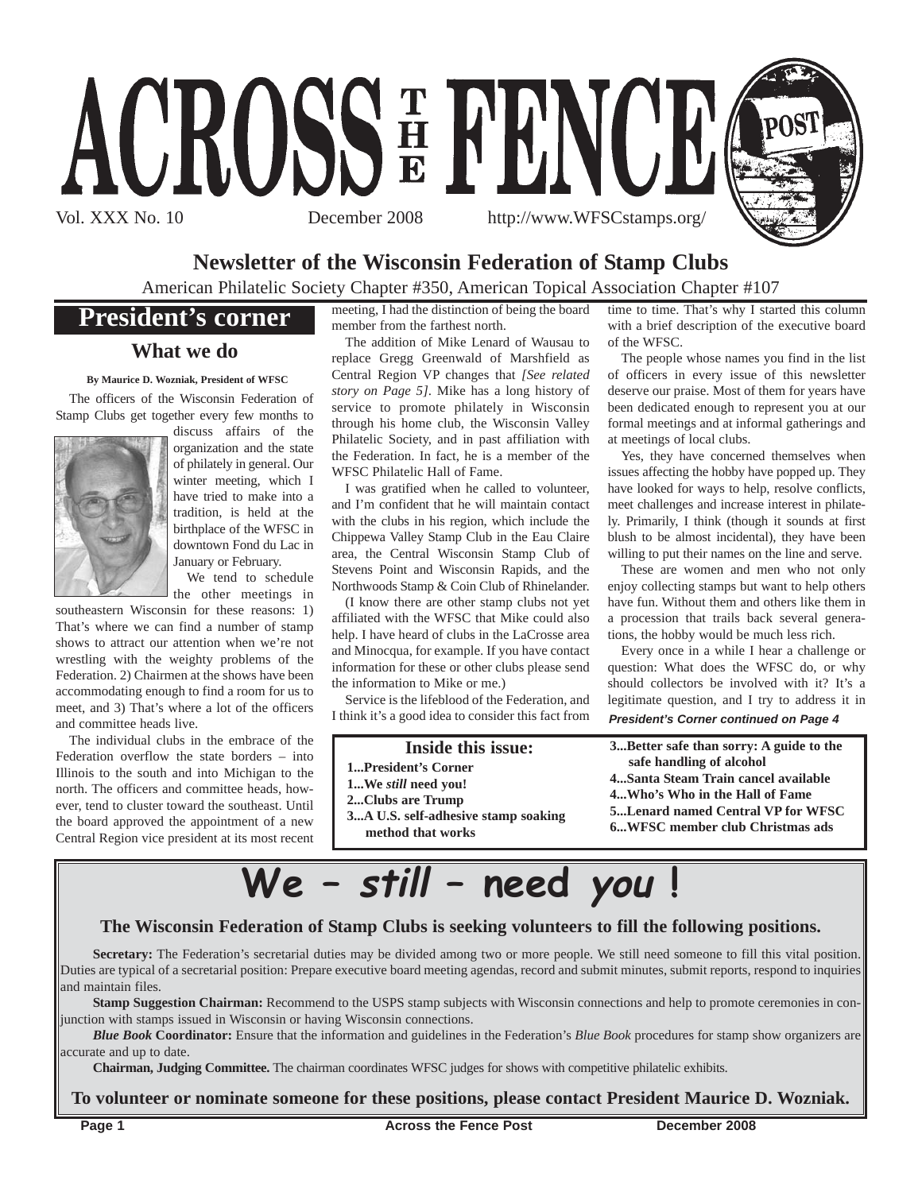

### **Newsletter of the Wisconsin Federation of Stamp Clubs**

American Philatelic Society Chapter #350, American Topical Association Chapter #107

### **President's corner**

#### **What we do**

#### **By Maurice D. Wozniak, President of WFSC**

The officers of the Wisconsin Federation of Stamp Clubs get together every few months to



discuss affairs of the organization and the state of philately in general. Our winter meeting, which I have tried to make into a tradition, is held at the birthplace of the WFSC in downtown Fond du Lac in January or February.

We tend to schedule the other meetings in

southeastern Wisconsin for these reasons: 1) That's where we can find a number of stamp shows to attract our attention when we're not wrestling with the weighty problems of the Federation. 2) Chairmen at the shows have been accommodating enough to find a room for us to meet, and 3) That's where a lot of the officers and committee heads live.

The individual clubs in the embrace of the Federation overflow the state borders – into Illinois to the south and into Michigan to the north. The officers and committee heads, however, tend to cluster toward the southeast. Until the board approved the appointment of a new Central Region vice president at its most recent meeting, I had the distinction of being the board member from the farthest north.

The addition of Mike Lenard of Wausau to replace Gregg Greenwald of Marshfield as Central Region VP changes that *[See related story on Page 5]*. Mike has a long history of service to promote philately in Wisconsin through his home club, the Wisconsin Valley Philatelic Society, and in past affiliation with the Federation. In fact, he is a member of the WFSC Philatelic Hall of Fame.

I was gratified when he called to volunteer, and I'm confident that he will maintain contact with the clubs in his region, which include the Chippewa Valley Stamp Club in the Eau Claire area, the Central Wisconsin Stamp Club of Stevens Point and Wisconsin Rapids, and the Northwoods Stamp & Coin Club of Rhinelander.

(I know there are other stamp clubs not yet affiliated with the WFSC that Mike could also help. I have heard of clubs in the LaCrosse area and Minocqua, for example. If you have contact information for these or other clubs please send the information to Mike or me.)

Service is the lifeblood of the Federation, and I think it's a good idea to consider this fact from

#### **Inside this issue:**

- **1...President's Corner**
- **1...We** *still* **need you!**
- **2...Clubs are Trump**

**3...A U.S. self-adhesive stamp soaking method that works**

time to time. That's why I started this column with a brief description of the executive board of the WFSC.

The people whose names you find in the list of officers in every issue of this newsletter deserve our praise. Most of them for years have been dedicated enough to represent you at our formal meetings and at informal gatherings and at meetings of local clubs.

Yes, they have concerned themselves when issues affecting the hobby have popped up. They have looked for ways to help, resolve conflicts, meet challenges and increase interest in philately. Primarily, I think (though it sounds at first blush to be almost incidental), they have been willing to put their names on the line and serve.

These are women and men who not only enjoy collecting stamps but want to help others have fun. Without them and others like them in a procession that trails back several generations, the hobby would be much less rich.

Every once in a while I hear a challenge or question: What does the WFSC do, or why should collectors be involved with it? It's a legitimate question, and I try to address it in *President's Corner continued on Page 4*

- 
- 
- 
- 

- **3...Better safe than sorry: A guide to the safe handling of alcohol**
- **4...Santa Steam Train cancel available**
- **4...Who's Who in the Hall of Fame 5...Lenard named Central VP for WFSC**
- **6...WFSC member club Christmas ads**
- 



#### **The Wisconsin Federation of Stamp Clubs is seeking volunteers to fill the following positions.**

**Secretary:** The Federation's secretarial duties may be divided among two or more people. We still need someone to fill this vital position. Duties are typical of a secretarial position: Prepare executive board meeting agendas, record and submit minutes, submit reports, respond to inquiries and maintain files.

**Stamp Suggestion Chairman:** Recommend to the USPS stamp subjects with Wisconsin connections and help to promote ceremonies in conjunction with stamps issued in Wisconsin or having Wisconsin connections.

*Blue Book* **Coordinator:** Ensure that the information and guidelines in the Federation's *Blue Book* procedures for stamp show organizers are accurate and up to date.

**Chairman, Judging Committee.** The chairman coordinates WFSC judges for shows with competitive philatelic exhibits.

#### **To volunteer or nominate someone for these positions, please contact President Maurice D. Wozniak.**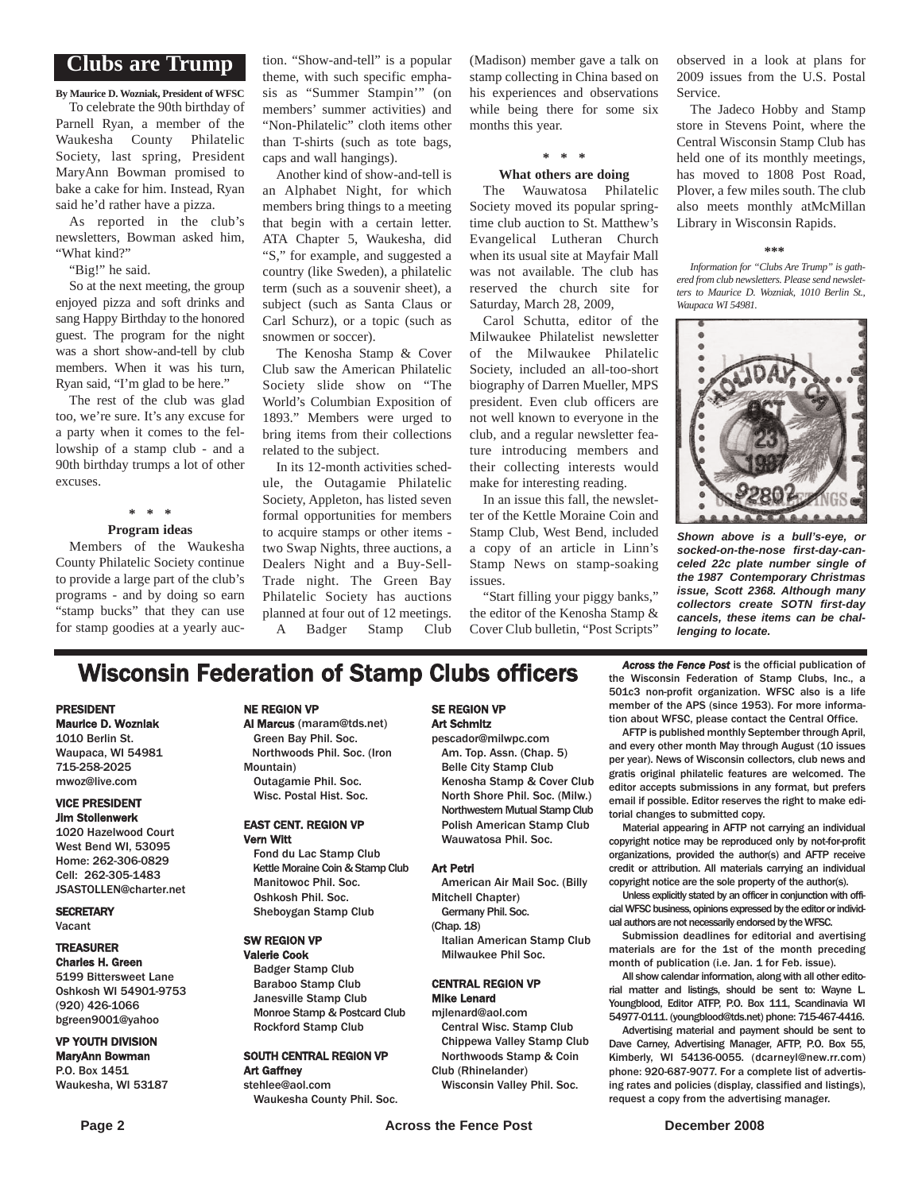#### **Clubs are Trump**

**By Maurice D. Wozniak, President of WFSC**

To celebrate the 90th birthday of Parnell Ryan, a member of the Waukesha County Philatelic Society, last spring, President MaryAnn Bowman promised to bake a cake for him. Instead, Ryan said he'd rather have a pizza.

As reported in the club's newsletters, Bowman asked him, "What kind?"

"Big!" he said.

So at the next meeting, the group enjoyed pizza and soft drinks and sang Happy Birthday to the honored guest. The program for the night was a short show-and-tell by club members. When it was his turn, Ryan said, "I'm glad to be here."

The rest of the club was glad too, we're sure. It's any excuse for a party when it comes to the fellowship of a stamp club - and a 90th birthday trumps a lot of other excuses.

**\* \* \***

#### **Program ideas**

Members of the Waukesha County Philatelic Society continue to provide a large part of the club's programs - and by doing so earn "stamp bucks" that they can use for stamp goodies at a yearly auc-

tion. "Show-and-tell" is a popular theme, with such specific emphasis as "Summer Stampin'" (on members' summer activities) and "Non-Philatelic" cloth items other than T-shirts (such as tote bags, caps and wall hangings).

Another kind of show-and-tell is an Alphabet Night, for which members bring things to a meeting that begin with a certain letter. ATA Chapter 5, Waukesha, did "S," for example, and suggested a country (like Sweden), a philatelic term (such as a souvenir sheet), a subject (such as Santa Claus or Carl Schurz), or a topic (such as snowmen or soccer).

The Kenosha Stamp & Cover Club saw the American Philatelic Society slide show on "The World's Columbian Exposition of 1893." Members were urged to bring items from their collections related to the subject.

In its 12-month activities schedule, the Outagamie Philatelic Society, Appleton, has listed seven formal opportunities for members to acquire stamps or other items two Swap Nights, three auctions, a Dealers Night and a Buy-Sell-Trade night. The Green Bay Philatelic Society has auctions planned at four out of 12 meetings. A Badger Stamp Club

(Madison) member gave a talk on stamp collecting in China based on his experiences and observations while being there for some six months this year.

#### **\* \* \* What others are doing**

The Wauwatosa Philatelic Society moved its popular springtime club auction to St. Matthew's Evangelical Lutheran Church when its usual site at Mayfair Mall was not available. The club has reserved the church site for Saturday, March 28, 2009,

Carol Schutta, editor of the Milwaukee Philatelist newsletter of the Milwaukee Philatelic Society, included an all-too-short biography of Darren Mueller, MPS president. Even club officers are not well known to everyone in the club, and a regular newsletter feature introducing members and their collecting interests would make for interesting reading.

In an issue this fall, the newsletter of the Kettle Moraine Coin and Stamp Club, West Bend, included a copy of an article in Linn's Stamp News on stamp-soaking issues.

"Start filling your piggy banks," the editor of the Kenosha Stamp & Cover Club bulletin, "Post Scripts"

observed in a look at plans for 2009 issues from the U.S. Postal Service.

The Jadeco Hobby and Stamp store in Stevens Point, where the Central Wisconsin Stamp Club has held one of its monthly meetings, has moved to 1808 Post Road, Plover, a few miles south. The club also meets monthly atMcMillan Library in Wisconsin Rapids.

#### **\*\*\***

*Information for "Clubs Are Trump" is gathered from club newsletters. Please send newsletters to Maurice D. Wozniak, 1010 Berlin St., Waupaca WI 54981.*



*Shown above is a bull's-eye, or socked-on-the-nose first-day-canceled 22c plate number single of the 1987 Contemporary Christmas issue, Scott 2368. Although many collectors create SOTN first-day cancels, these items can be challenging to locate.*

## **Wisconsin Federation of Stamp Clubs officers** *Across the Fence Post* is the official publication of stamp Clubs. Inc., a

#### PRESIDENT Maurice D. Wozniak

1010 Berlin St. Waupaca, WI 54981 715-258-2025 mwoz@live.com

#### VICE PRESIDENT Jim Stollenwerk

1020 Hazelwood Court West Bend WI, 53095 Home: 262-306-0829 Cell: 262-305-1483 JSASTOLLEN@charter.net

**SECRETARY** Vacant

#### TREASURER Charles H. Green

5199 Bittersweet Lane Oshkosh WI 54901-9753 (920) 426-1066 bgreen9001@yahoo

#### VP YOUTH DIVISION MaryAnn Bowman P.O. Box 1451

Waukesha, WI 53187

#### NE REGION VP

#### Al Marcus (maram@tds.net)

Green Bay Phil. Soc. Northwoods Phil. Soc. (Iron Mountain) Outagamie Phil. Soc.

Wisc. Postal Hist. Soc.

#### EAST CENT. REGION VP Vern Witt

Fond du Lac Stamp Club Kettle Moraine Coin & Stamp Club Manitowoc Phil. Soc. Oshkosh Phil. Soc. Sheboygan Stamp Club

#### SW REGION VP

Valerie Cook Badger Stamp Club Baraboo Stamp Club Janesville Stamp Club Monroe Stamp & Postcard Club Rockford Stamp Club

#### SOUTH CENTRAL REGION VP Art Gaffney stehlee@aol.com

Waukesha County Phil. Soc.

#### SE REGION VP Art Schmitz

pescador@milwpc.com Am. Top. Assn. (Chap. 5) Belle City Stamp Club Kenosha Stamp & Cover Club North Shore Phil. Soc. (Milw.) Northwestern Mutual Stamp Club Polish American Stamp Club Wauwatosa Phil. Soc.

#### Art Petri

American Air Mail Soc. (Billy Mitchell Chapter)

Germany Phil. Soc. (Chap. 18)

> Italian American Stamp Club Milwaukee Phil Soc.

#### CENTRAL REGION VP Mike Lenard

mjlenard@aol.com Central Wisc. Stamp Club

Chippewa Valley Stamp Club Northwoods Stamp & Coin Club (Rhinelander)

Wisconsin Valley Phil. Soc.

the Wisconsin Federation of Stamp Clubs, Inc., a 501c3 non-profit organization. WFSC also is a life member of the APS (since 1953). For more information about WFSC, please contact the Central Office.

AFTP is published monthly September through April, and every other month May through August (10 issues per year). News of Wisconsin collectors, club news and gratis original philatelic features are welcomed. The editor accepts submissions in any format, but prefers email if possible. Editor reserves the right to make editorial changes to submitted copy.

Material appearing in AFTP not carrying an individual copyright notice may be reproduced only by not-for-profit organizations, provided the author(s) and AFTP receive credit or attribution. All materials carrying an individual copyright notice are the sole property of the author(s).

Unless explicitly stated by an officer in conjunction with official WFSC business, opinions expressed by the editor or individual authors are not necessarily endorsed by the WFSC.

Submission deadlines for editorial and avertising materials are for the 1st of the month preceding month of publication (i.e. Jan. 1 for Feb. issue).

All show calendar information, along with all other editorial matter and listings, should be sent to: Wayne L. Youngblood, Editor ATFP, P.O. Box 111, Scandinavia WI 54977-0111. (youngblood@tds.net) phone: 715-467-4416.

Advertising material and payment should be sent to Dave Carney, Advertising Manager, AFTP, P.O. Box 55, Kimberly, WI 54136-0055. (dcarneyl@new.rr.com) phone: 920-687-9077. For a complete list of advertising rates and policies (display, classified and listings), request a copy from the advertising manager.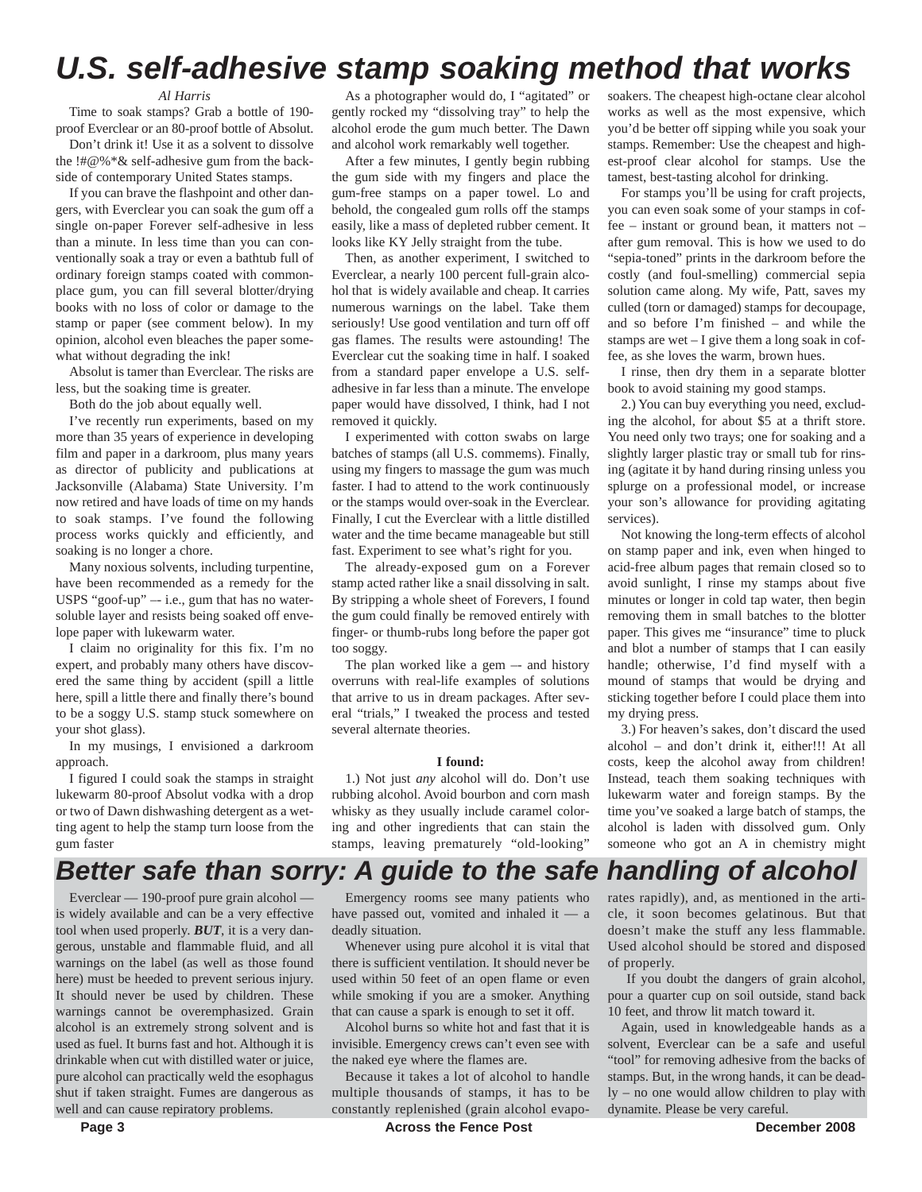## *U.S. self-adhesive stamp soaking method that works*

#### *Al Harris*

Time to soak stamps? Grab a bottle of 190 proof Everclear or an 80-proof bottle of Absolut.

Don't drink it! Use it as a solvent to dissolve the !#@%\*& self-adhesive gum from the backside of contemporary United States stamps.

If you can brave the flashpoint and other dangers, with Everclear you can soak the gum off a single on-paper Forever self-adhesive in less than a minute. In less time than you can conventionally soak a tray or even a bathtub full of ordinary foreign stamps coated with commonplace gum, you can fill several blotter/drying books with no loss of color or damage to the stamp or paper (see comment below). In my opinion, alcohol even bleaches the paper somewhat without degrading the ink!

Absolut is tamer than Everclear. The risks are less, but the soaking time is greater.

Both do the job about equally well.

I've recently run experiments, based on my more than 35 years of experience in developing film and paper in a darkroom, plus many years as director of publicity and publications at Jacksonville (Alabama) State University. I'm now retired and have loads of time on my hands to soak stamps. I've found the following process works quickly and efficiently, and soaking is no longer a chore.

Many noxious solvents, including turpentine, have been recommended as a remedy for the USPS "goof-up"  $-$  i.e., gum that has no watersoluble layer and resists being soaked off envelope paper with lukewarm water.

I claim no originality for this fix. I'm no expert, and probably many others have discovered the same thing by accident (spill a little here, spill a little there and finally there's bound to be a soggy U.S. stamp stuck somewhere on your shot glass).

In my musings, I envisioned a darkroom approach.

I figured I could soak the stamps in straight lukewarm 80-proof Absolut vodka with a drop or two of Dawn dishwashing detergent as a wetting agent to help the stamp turn loose from the gum faster

Everclear — 190-proof pure grain alcohol is widely available and can be a very effective tool when used properly. *BUT*, it is a very dangerous, unstable and flammable fluid, and all warnings on the label (as well as those found here) must be heeded to prevent serious injury. It should never be used by children. These warnings cannot be overemphasized. Grain alcohol is an extremely strong solvent and is used as fuel. It burns fast and hot. Although it is drinkable when cut with distilled water or juice, pure alcohol can practically weld the esophagus shut if taken straight. Fumes are dangerous as well and can cause repiratory problems.

As a photographer would do, I "agitated" or gently rocked my "dissolving tray" to help the alcohol erode the gum much better. The Dawn and alcohol work remarkably well together.

After a few minutes, I gently begin rubbing the gum side with my fingers and place the gum-free stamps on a paper towel. Lo and behold, the congealed gum rolls off the stamps easily, like a mass of depleted rubber cement. It looks like KY Jelly straight from the tube.

Then, as another experiment, I switched to Everclear, a nearly 100 percent full-grain alcohol that is widely available and cheap. It carries numerous warnings on the label. Take them seriously! Use good ventilation and turn off off gas flames. The results were astounding! The Everclear cut the soaking time in half. I soaked from a standard paper envelope a U.S. selfadhesive in far less than a minute. The envelope paper would have dissolved, I think, had I not removed it quickly.

I experimented with cotton swabs on large batches of stamps (all U.S. commems). Finally, using my fingers to massage the gum was much faster. I had to attend to the work continuously or the stamps would over-soak in the Everclear. Finally, I cut the Everclear with a little distilled water and the time became manageable but still fast. Experiment to see what's right for you.

The already-exposed gum on a Forever stamp acted rather like a snail dissolving in salt. By stripping a whole sheet of Forevers, I found the gum could finally be removed entirely with finger- or thumb-rubs long before the paper got too soggy.

The plan worked like a gem  $-$  and history overruns with real-life examples of solutions that arrive to us in dream packages. After several "trials," I tweaked the process and tested several alternate theories.

#### **I found:**

1.) Not just *any* alcohol will do. Don't use rubbing alcohol. Avoid bourbon and corn mash whisky as they usually include caramel coloring and other ingredients that can stain the stamps, leaving prematurely "old-looking"

soakers. The cheapest high-octane clear alcohol works as well as the most expensive, which you'd be better off sipping while you soak your stamps. Remember: Use the cheapest and highest-proof clear alcohol for stamps. Use the tamest, best-tasting alcohol for drinking.

For stamps you'll be using for craft projects, you can even soak some of your stamps in coffee – instant or ground bean, it matters not – after gum removal. This is how we used to do "sepia-toned" prints in the darkroom before the costly (and foul-smelling) commercial sepia solution came along. My wife, Patt, saves my culled (torn or damaged) stamps for decoupage, and so before I'm finished – and while the stamps are wet  $-1$  give them a long soak in coffee, as she loves the warm, brown hues.

I rinse, then dry them in a separate blotter book to avoid staining my good stamps.

2.) You can buy everything you need, excluding the alcohol, for about \$5 at a thrift store. You need only two trays; one for soaking and a slightly larger plastic tray or small tub for rinsing (agitate it by hand during rinsing unless you splurge on a professional model, or increase your son's allowance for providing agitating services).

Not knowing the long-term effects of alcohol on stamp paper and ink, even when hinged to acid-free album pages that remain closed so to avoid sunlight, I rinse my stamps about five minutes or longer in cold tap water, then begin removing them in small batches to the blotter paper. This gives me "insurance" time to pluck and blot a number of stamps that I can easily handle; otherwise, I'd find myself with a mound of stamps that would be drying and sticking together before I could place them into my drying press.

3.) For heaven's sakes, don't discard the used alcohol – and don't drink it, either!!! At all costs, keep the alcohol away from children! Instead, teach them soaking techniques with lukewarm water and foreign stamps. By the time you've soaked a large batch of stamps, the alcohol is laden with dissolved gum. Only someone who got an A in chemistry might

## *Better safe than sorry: A guide to the safe handling of alcohol*

Emergency rooms see many patients who have passed out, vomited and inhaled it — a deadly situation.

Whenever using pure alcohol it is vital that there is sufficient ventilation. It should never be used within 50 feet of an open flame or even while smoking if you are a smoker. Anything that can cause a spark is enough to set it off.

Alcohol burns so white hot and fast that it is invisible. Emergency crews can't even see with the naked eye where the flames are.

Because it takes a lot of alcohol to handle multiple thousands of stamps, it has to be constantly replenished (grain alcohol evaporates rapidly), and, as mentioned in the article, it soon becomes gelatinous. But that doesn't make the stuff any less flammable. Used alcohol should be stored and disposed of properly.

If you doubt the dangers of grain alcohol, pour a quarter cup on soil outside, stand back 10 feet, and throw lit match toward it.

Again, used in knowledgeable hands as a solvent, Everclear can be a safe and useful "tool" for removing adhesive from the backs of stamps. But, in the wrong hands, it can be deadly – no one would allow children to play with dynamite. Please be very careful.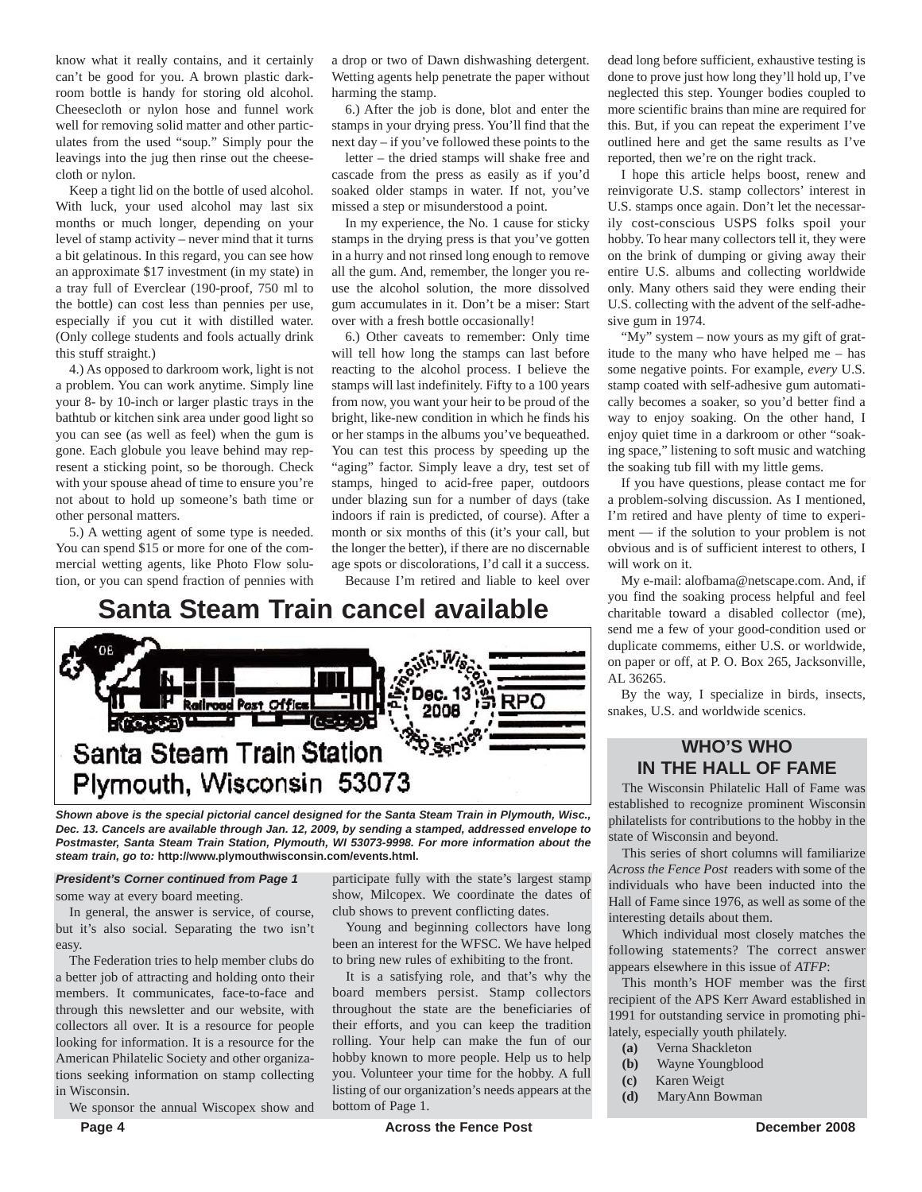know what it really contains, and it certainly can't be good for you. A brown plastic darkroom bottle is handy for storing old alcohol. Cheesecloth or nylon hose and funnel work well for removing solid matter and other particulates from the used "soup." Simply pour the leavings into the jug then rinse out the cheesecloth or nylon.

Keep a tight lid on the bottle of used alcohol. With luck, your used alcohol may last six months or much longer, depending on your level of stamp activity – never mind that it turns a bit gelatinous. In this regard, you can see how an approximate \$17 investment (in my state) in a tray full of Everclear (190-proof, 750 ml to the bottle) can cost less than pennies per use, especially if you cut it with distilled water. (Only college students and fools actually drink this stuff straight.)

4.) As opposed to darkroom work, light is not a problem. You can work anytime. Simply line your 8- by 10-inch or larger plastic trays in the bathtub or kitchen sink area under good light so you can see (as well as feel) when the gum is gone. Each globule you leave behind may represent a sticking point, so be thorough. Check with your spouse ahead of time to ensure you're not about to hold up someone's bath time or other personal matters.

5.) A wetting agent of some type is needed. You can spend \$15 or more for one of the commercial wetting agents, like Photo Flow solution, or you can spend fraction of pennies with a drop or two of Dawn dishwashing detergent. Wetting agents help penetrate the paper without harming the stamp.

6.) After the job is done, blot and enter the stamps in your drying press. You'll find that the next day – if you've followed these points to the

letter – the dried stamps will shake free and cascade from the press as easily as if you'd soaked older stamps in water. If not, you've missed a step or misunderstood a point.

In my experience, the No. 1 cause for sticky stamps in the drying press is that you've gotten in a hurry and not rinsed long enough to remove all the gum. And, remember, the longer you reuse the alcohol solution, the more dissolved gum accumulates in it. Don't be a miser: Start over with a fresh bottle occasionally!

6.) Other caveats to remember: Only time will tell how long the stamps can last before reacting to the alcohol process. I believe the stamps will last indefinitely. Fifty to a 100 years from now, you want your heir to be proud of the bright, like-new condition in which he finds his or her stamps in the albums you've bequeathed. You can test this process by speeding up the "aging" factor. Simply leave a dry, test set of stamps, hinged to acid-free paper, outdoors under blazing sun for a number of days (take indoors if rain is predicted, of course). After a month or six months of this (it's your call, but the longer the better), if there are no discernable age spots or discolorations, I'd call it a success.

Because I'm retired and liable to keel over

**Santa Steam Train cancel available**



*Shown above is the special pictorial cancel designed for the Santa Steam Train in Plymouth, Wisc., Dec. 13. Cancels are available through Jan. 12, 2009, by sending a stamped, addressed envelope to Postmaster, Santa Steam Train Station, Plymouth, WI 53073-9998. For more information about the steam train, go to:* **http://www.plymouthwisconsin.com/events.html.**

#### *President's Corner continued from Page 1*

some way at every board meeting.

In general, the answer is service, of course, but it's also social. Separating the two isn't easy.

The Federation tries to help member clubs do a better job of attracting and holding onto their members. It communicates, face-to-face and through this newsletter and our website, with collectors all over. It is a resource for people looking for information. It is a resource for the American Philatelic Society and other organizations seeking information on stamp collecting in Wisconsin.

We sponsor the annual Wiscopex show and

participate fully with the state's largest stamp show, Milcopex. We coordinate the dates of club shows to prevent conflicting dates.

Young and beginning collectors have long been an interest for the WFSC. We have helped to bring new rules of exhibiting to the front.

It is a satisfying role, and that's why the board members persist. Stamp collectors throughout the state are the beneficiaries of their efforts, and you can keep the tradition rolling. Your help can make the fun of our hobby known to more people. Help us to help you. Volunteer your time for the hobby. A full listing of our organization's needs appears at the bottom of Page 1.

dead long before sufficient, exhaustive testing is done to prove just how long they'll hold up, I've neglected this step. Younger bodies coupled to more scientific brains than mine are required for this. But, if you can repeat the experiment I've outlined here and get the same results as I've reported, then we're on the right track.

I hope this article helps boost, renew and reinvigorate U.S. stamp collectors' interest in U.S. stamps once again. Don't let the necessarily cost-conscious USPS folks spoil your hobby. To hear many collectors tell it, they were on the brink of dumping or giving away their entire U.S. albums and collecting worldwide only. Many others said they were ending their U.S. collecting with the advent of the self-adhesive gum in 1974.

"My" system - now yours as my gift of gratitude to the many who have helped me – has some negative points. For example, *every* U.S. stamp coated with self-adhesive gum automatically becomes a soaker, so you'd better find a way to enjoy soaking. On the other hand, I enjoy quiet time in a darkroom or other "soaking space," listening to soft music and watching the soaking tub fill with my little gems.

If you have questions, please contact me for a problem-solving discussion. As I mentioned, I'm retired and have plenty of time to experiment — if the solution to your problem is not obvious and is of sufficient interest to others, I will work on it.

My e-mail: alofbama@netscape.com. And, if you find the soaking process helpful and feel charitable toward a disabled collector (me), send me a few of your good-condition used or duplicate commems, either U.S. or worldwide, on paper or off, at P. O. Box 265, Jacksonville, AL 36265.

By the way, I specialize in birds, insects, snakes, U.S. and worldwide scenics.

### **WHO'S WHO IN THE HALL OF FAME**

The Wisconsin Philatelic Hall of Fame was established to recognize prominent Wisconsin philatelists for contributions to the hobby in the state of Wisconsin and beyond.

This series of short columns will familiarize *Across the Fence Post* readers with some of the individuals who have been inducted into the Hall of Fame since 1976, as well as some of the interesting details about them.

Which individual most closely matches the following statements? The correct answer appears elsewhere in this issue of *ATFP*:

This month's HOF member was the first recipient of the APS Kerr Award established in 1991 for outstanding service in promoting philately, especially youth philately.

- **(a)** Verna Shackleton
- **(b)** Wayne Youngblood
- **(c)** Karen Weigt
- **(d)** MaryAnn Bowman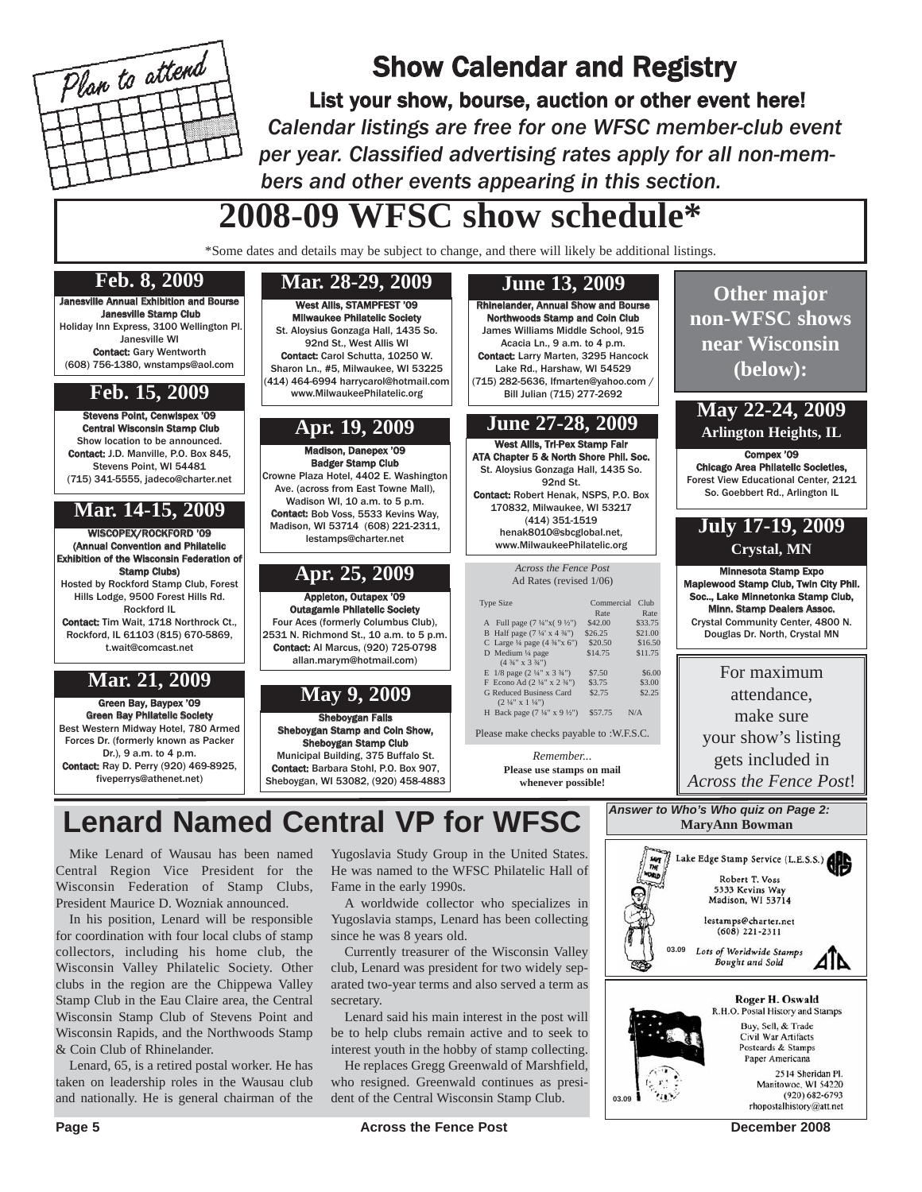

## Show Calendar and Registry

List your show, bourse, auction or other event here! *Calendar listings are free for one WFSC member-club event per year. Classified advertising rates apply for all non-members and other events appearing in this section.*

# **2008-09 WFSC show schedule\***

\*Some dates and details may be subject to change, and there will likely be additional listings.

#### Stevens Point, Cenwispex '09 Central Wisconsin Stamp Club Show location to be announced. Contact: J.D. Manville, P.O. Box 845, Stevens Point, WI 54481 (715) 341-5555, jadeco@charter.net WISCOPEX/ROCKFORD '09 (Annual Convention and Philatelic Exhibition of the Wisconsin Federation of Stamp Clubs) Hosted by Rockford Stamp Club, Forest Hills Lodge, 9500 Forest Hills Rd. Rockford IL Contact: Tim Wait, 1718 Northrock Ct. Rockford, IL 61103 (815) 670-5869, t.wait@comcast.net West Allis, STAMPFEST '09 vaukee Philatelic Society St. Aloysius Gonzaga Hall, 1435 So. 92nd St., West Allis WI Contact: Carol Schutta, 10250 W. Sharon Ln., #5, Milwaukee, WI 53225 (414) 464-6994 harrycarol@hotmail.com www.MilwaukeePhilatelic.org Green Bay, Baypex '09 Green Bay Philatelic Society Best Western Midway Hotel, 780 Armed Forces Dr. (formerly known as Packer Dr.), 9 a.m. to 4 p.m. Contact: Ray D. Perry (920) 469-8925, fiveperrys@athenet.net) Appleton, Outapex '09 Outagamie Philatelic Society Four Aces (formerly Columbus Club), 2531 N. Richmond St., 10 a.m. to 5 p.m. Contact: Al Marcus, (920) 725-0798 allan.marym@hotmail.com) **Rhinelander, Annual Show and Bours** Northwoods Stamp and Coin Club James Williams Middle School, 915 Acacia Ln., 9 a.m. to 4 p.m. Contact: Larry Marten, 3295 Hancock Lake Rd., Harshaw, WI 54529 (715) 282-5636, lfmarten@yahoo.com / Bill Julian (715) 277-2692 Sheboygan Falls an Stamp and Coin Show, Sheboygan Stamp Club Municipal Building, 375 Buffalo St. Contact: Barbara Stohl, P.O. Box 907, Sheboygan, WI 53082, (920) 458-4883 West Allis, Tri-Pex Stamp Fair ATA Chapter 5 & North Shore Phil. Soc. St. Aloysius Gonzaga Hall, 1435 So. 92nd St. Contact: Robert Henak, NSPS, P.O. Box 170832, Milwaukee, WI 53217 (414) 351-1519 henak8010@sbcglobal.net, www.MilwaukeePhilatelic.org Madison, Danepex '09 Badger Stamp Club Crowne Plaza Hotel, 4402 E. Washington Ave. (across from East Towne Mall), Wadison WI, 10 a.m. to 5 p.m. Contact: Bob Voss, 5533 Kevins Way, Madison, WI 53714 (608) 221-2311, lestamps@charter.net Janesville Annual Exhibition and Bourse Janesville Stamp Club Holiday Inn Express, 3100 Wellington Pl. Janesville WI Contact: Gary Wentworth (608) 756-1380, wnstamps@aol.com **Other major non-WFSC shows near Wisconsin (below):** Compex '09 Chicago Area Philatelic Societies, Forest View Educational Center, 2121 So. Goebbert Rd., Arlington IL Minnesota Stamp Expo Maplewood Stamp Club, Twin City Phil. Soc.., Lake Minnetonka Stamp Club, Minn. Stamp Dealers Assoc. Crystal Community Center, 4800 N. Douglas Dr. North, Crystal MN For maximum attendance, make sure your show's listing gets included in *Across the Fence Post*! **Feb. 8, 2009 Feb. 15, 2009 Mar. 14-15, 2009 Mar. 21, 2009 Mar. 28-29, 2009 Apr. 19, 2009 June 13, 2009 Apr. 25, 2009 June 27-28, 2009 May 9, 2009 May 22-24, 2009 Arlington Heights, IL July 17-19, 2009 Crystal, MN** *Across the Fence Post* Ad Rates (revised 1/06) Type Size Commercial Club Rate Rate<br>\$42.00 \$33.75 A Full page (7 ¼"x( 9 ½") \$42.00 \$33.75<br>B Half page (7 ¼' x 4 ¾") \$26.25 \$21.00 C Large ¼ page (4 ¾" x 6") \$20.50 \$16.50<br>
D Medium ¼ page \$14.75 \$11.75 (4 ¾" x 3 ¾") E 1/8 page (2 ¼" x 3 ¾") \$7.50 \$6.00<br>F Econo Ad (2 ¼" x 2 ¾") \$3.75 \$3.00 G Reduced Business Card \$2.75 \$2.25  $(2 \frac{1}{4}$ " x 1  $\frac{1}{4}$ ") H Back page (7  $\frac{1}{4}$ " x 9  $\frac{1}{2}$ ") \$57.75 N/A Please make checks payable to :W.F.S.C. *Answer to Who's Who quiz on Page 2:* **MaryAnn Bowman** *Remember...* **Please use stamps on mail whenever possible! Lenard Named Central VP for WFSC**

Mike Lenard of Wausau has been named Central Region Vice President for the Wisconsin Federation of Stamp Clubs, President Maurice D. Wozniak announced.

In his position, Lenard will be responsible for coordination with four local clubs of stamp collectors, including his home club, the Wisconsin Valley Philatelic Society. Other clubs in the region are the Chippewa Valley Stamp Club in the Eau Claire area, the Central Wisconsin Stamp Club of Stevens Point and Wisconsin Rapids, and the Northwoods Stamp & Coin Club of Rhinelander.

Lenard, 65, is a retired postal worker. He has taken on leadership roles in the Wausau club and nationally. He is general chairman of the Yugoslavia Study Group in the United States. He was named to the WFSC Philatelic Hall of Fame in the early 1990s.

A worldwide collector who specializes in Yugoslavia stamps, Lenard has been collecting since he was 8 years old.

Currently treasurer of the Wisconsin Valley club, Lenard was president for two widely separated two-year terms and also served a term as secretary.

Lenard said his main interest in the post will be to help clubs remain active and to seek to interest youth in the hobby of stamp collecting.

He replaces Gregg Greenwald of Marshfield, who resigned. Greenwald continues as president of the Central Wisconsin Stamp Club.

Lake Edge Stamp Service (L.E.S.S.)

Robert T. Voss 5333 Kevins Way Madison, WI 53714 lestamps@charter.net  $(608)$  221-2311 Lots of Worldwide Stamp:

Bought and Sold

Roger H. Oswald R.H.O. Postal History and Stamps Buy, Sell, & Trade Civil War Artifacts Postcards & Stamps Paper Americana

> 2514 Sheridan Pl. Manitowoc, WI 54220 (920) 682-6793 rhopostalhistory@att.net

船

41 N

**03.09**

**03.09**